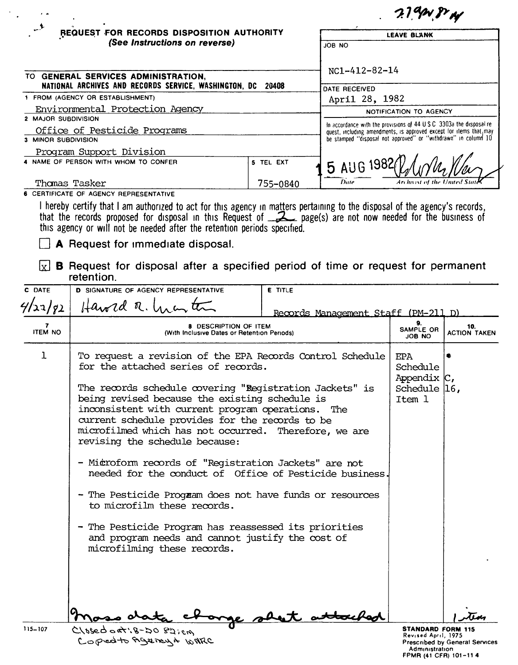7.19px 8r of

LEAVE BLANK

,

## $\mathbb{P}^{\mathcal{F}}$  REQUEST FOR RECORDS DISPOSITION AUTHORITY *(See Instructions on reverse)*

|                                                                                                         |           | JUB NU                                                                                                                                      |
|---------------------------------------------------------------------------------------------------------|-----------|---------------------------------------------------------------------------------------------------------------------------------------------|
| <b>GENERAL SERVICES ADMINISTRATION.</b><br>TO.<br>NATIONAL ARCHIVES AND RECORDS SERVICE, WASHINGTON, DC | 20408     | $NC1 - 412 - 82 - 14$<br>DATE RECEIVED                                                                                                      |
| 1 FROM (AGENCY OR ESTABLISHMENT)                                                                        |           | April 28, 1982                                                                                                                              |
| Environmental Protection Agency                                                                         |           | NOTIFICATION TO AGENCY                                                                                                                      |
| 2 MAJOR SUBDIVISION<br>Office of Pesticide Programs                                                     |           | In accordance with the provisions of 44 U.S.C. 3303a the disposal re-<br>quest, including amendments, is approved except for items that may |
| 3 MINOR SUBDIVISION                                                                                     |           | be stamped "disposal not approved" or "withdrawn" in column 10                                                                              |
| Program Support Division                                                                                |           |                                                                                                                                             |
| 4 NAME OF PERSON WITH WHOM TO CONFER                                                                    | 5 TEL EXT | 5 AUG 1982 $\mathbb{Z}/\mathbb{Z}$                                                                                                          |
| Thomas Tasker                                                                                           | 755-0840  | Archaeot of the United State<br>Date                                                                                                        |

**6 CERTIFICATE OF AGENCY REPRESENTATIVE** 

 $\epsilon$  .

I hereby certify that I am authorized to act for this agency in mat<u>t</u>ers pertaining to the disposal of the agency's records, that the records proposed for disposal In this Request of ;&...c page(s) are not now needed for the busmess of this agency or Will not be needed after the retention periods specified.

 $\Box$  A Request for immediate disposal.

 $\boxed{\text{X}}$  **B** Request for disposal after a specified period of time or request for permanent retention.

| C DATE              | <b>D</b> SIGNATURE OF AGENCY REPRESENTATIVE                                                                                                                                                                                                                                                                                                                                                                                                                                                                                                                                                                                                                                                                                                                                 | E TITLE                             |                                                                         |                                |
|---------------------|-----------------------------------------------------------------------------------------------------------------------------------------------------------------------------------------------------------------------------------------------------------------------------------------------------------------------------------------------------------------------------------------------------------------------------------------------------------------------------------------------------------------------------------------------------------------------------------------------------------------------------------------------------------------------------------------------------------------------------------------------------------------------------|-------------------------------------|-------------------------------------------------------------------------|--------------------------------|
| 4/22/82             | Haward a. how the                                                                                                                                                                                                                                                                                                                                                                                                                                                                                                                                                                                                                                                                                                                                                           | Records Management Staff (PM-211 D) |                                                                         |                                |
| 7<br><b>ITEM NO</b> | <b>8 DESCRIPTION OF ITEM</b><br>(With Inclusive Dates or Retention Periods)                                                                                                                                                                                                                                                                                                                                                                                                                                                                                                                                                                                                                                                                                                 |                                     | 9.<br>SAMPLE OR<br>ON BOL                                               | 10.<br><b>ACTION TAKEN</b>     |
| ı                   | To request a revision of the EPA Records Control Schedule<br>for the attached series of records.<br>The records schedule covering "Registration Jackets" is<br>being revised because the existing schedule is<br>inconsistent with current program operations. The<br>current schedule provides for the records to be<br>microfilmed which has not occurred. Therefore, we are<br>revising the schedule because:<br>- Microform records of "Registration Jackets" are not<br>needed for the conduct of Office of Pesticide business.<br>- The Pesticide Program does not have funds or resources<br>to microfilm these records.<br>- The Pesticide Program has reassessed its priorities<br>and program needs and cannot justify the cost of<br>microfilming these records. | re short attaches                   | <b>EPA</b><br>Schedule<br>Appendix $ C$ ,<br>Schedule $ 16$ ,<br>Item 1 | ۰<br>Tīm                       |
| $115 - 107$         | Coped to Agancy & WARC                                                                                                                                                                                                                                                                                                                                                                                                                                                                                                                                                                                                                                                                                                                                                      |                                     | <b>STANDARD FORM 115</b><br>Revised April, 1975                         | Prescribed by General Services |

Revised April, 1975<br>Prescribed by General Service Administration FPMR (41 CFR) 101-114